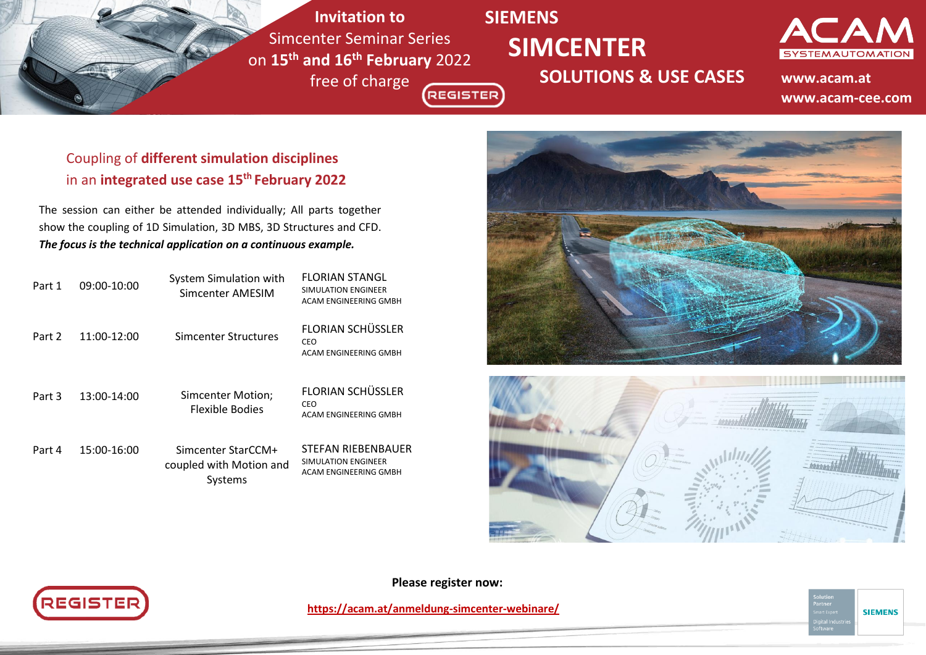**Invitation to** Simcenter Seminar Series on **15th and 16th February** 2022 free of charge REGISTER





**www[.acam-cee.com](https://acam-cee.com/)**

## Coupling of **different simulation disciplines** in an **integrated use case 15th February 2022**

The session can either be attended individually; All parts together show the coupling of 1D Simulation, 3D MBS, 3D Structures and CFD. *The focus is the technical application on a continuous example.*

| Part 1 | 09:00-10:00 | System Simulation with<br>Simcenter AMESIM               | <b>FLORIAN STANGL</b><br>SIMULATION ENGINEER<br>ACAM ENGINEERING GMBH     |
|--------|-------------|----------------------------------------------------------|---------------------------------------------------------------------------|
| Part 2 | 11:00-12:00 | Simcenter Structures                                     | FLORIAN SCHÜSSLER<br>CEO<br>ACAM ENGINEERING GMBH                         |
| Part 3 | 13:00-14:00 | Simcenter Motion;<br><b>Flexible Bodies</b>              | <b>FLORIAN SCHÜSSLER</b><br>CEO<br>ACAM ENGINEERING GMBH                  |
| Part 4 | 15:00-16:00 | Simcenter StarCCM+<br>coupled with Motion and<br>Systems | STEFAN RIEBENBAUER<br>SIMULATION ENGINEER<br><b>ACAM ENGINEERING GMBH</b> |







**Please register now:**

**<https://acam.at/anmeldung-simcenter-webinare/>**

**SIEMENS**